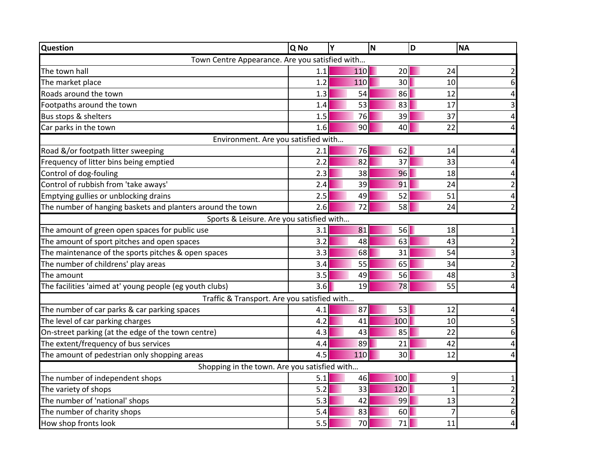| <b>Question</b>                                            | Q No | Υ   | N               | D  | <b>NA</b>               |  |  |  |  |
|------------------------------------------------------------|------|-----|-----------------|----|-------------------------|--|--|--|--|
| Town Centre Appearance. Are you satisfied with             |      |     |                 |    |                         |  |  |  |  |
| The town hall                                              | 1.1  | 110 | 20              | 24 | $\overline{2}$          |  |  |  |  |
| The market place                                           | 1.2  | 110 | 30 <sup>1</sup> | 10 | 6                       |  |  |  |  |
| Roads around the town                                      | 1.3  | 54  | 86              | 12 | 4                       |  |  |  |  |
| Footpaths around the town                                  | 1.4  | 53  | 83              | 17 | $\overline{\mathbf{3}}$ |  |  |  |  |
| Bus stops & shelters                                       | 1.5  | 76  | 39              | 37 | $\pmb{4}$               |  |  |  |  |
| Car parks in the town                                      | 1.6  | 90  | 40              | 22 | $\overline{\mathbf{r}}$ |  |  |  |  |
| Environment. Are you satisfied with                        |      |     |                 |    |                         |  |  |  |  |
| Road &/or footpath litter sweeping                         | 2.1  | 76  | 62              | 14 | 4                       |  |  |  |  |
| Frequency of litter bins being emptied                     | 2.2  | 82  | 37              | 33 | 4                       |  |  |  |  |
| Control of dog-fouling                                     | 2.3  | 38  | 96              | 18 | 4                       |  |  |  |  |
| Control of rubbish from 'take aways'                       | 2.4  | 39  | 91              | 24 | $\overline{2}$          |  |  |  |  |
| Emptying gullies or unblocking drains                      | 2.5  | 49  | 52              | 51 | 4                       |  |  |  |  |
| The number of hanging baskets and planters around the town | 2.6  | 72  | 58              | 24 | $\overline{2}$          |  |  |  |  |
| Sports & Leisure. Are you satisfied with                   |      |     |                 |    |                         |  |  |  |  |
| The amount of green open spaces for public use             | 3.1  | 81  | 56              | 18 | $\mathbf 1$             |  |  |  |  |
| The amount of sport pitches and open spaces                | 3.2  | 48  | 63              | 43 | $\overline{2}$          |  |  |  |  |
| The maintenance of the sports pitches & open spaces        | 3.3  | 68  | 31              | 54 | $\mathbf{3}$            |  |  |  |  |
| The number of childrens' play areas                        | 3.4  | 55  | 65              | 34 | $\overline{2}$          |  |  |  |  |
| The amount                                                 | 3.5  | 49  | 56              | 48 | $\overline{3}$          |  |  |  |  |
| The facilities 'aimed at' young people (eg youth clubs)    | 3.6  | 19  | 78              | 55 | 4                       |  |  |  |  |
| Traffic & Transport. Are you satisfied with                |      |     |                 |    |                         |  |  |  |  |
| The number of car parks & car parking spaces               | 4.1  | 87  | 53              | 12 | 4                       |  |  |  |  |
| The level of car parking charges                           | 4.2  | 41  | 100             | 10 | 5                       |  |  |  |  |
| On-street parking (at the edge of the town centre)         | 4.3  | 43  | 85              | 22 | 6                       |  |  |  |  |
| The extent/frequency of bus services                       | 4.4  | 89  | 21              | 42 | $\overline{\mathbf{r}}$ |  |  |  |  |
| The amount of pedestrian only shopping areas               | 4.5  | 110 | 30 <sup>1</sup> | 12 | 4                       |  |  |  |  |
| Shopping in the town. Are you satisfied with               |      |     |                 |    |                         |  |  |  |  |
| The number of independent shops                            | 5.1  | 46  | 100             | 9  | $\mathbf{1}$            |  |  |  |  |
| The variety of shops                                       | 5.2  | 33  | 120             | 1  | $\overline{2}$          |  |  |  |  |
| The number of 'national' shops                             | 5.3  | 42  | 99              | 13 | $\overline{2}$          |  |  |  |  |
| The number of charity shops                                | 5.4  | 83  | 60              | 7  | 6                       |  |  |  |  |
| How shop fronts look                                       | 5.5  | 70  | 71              | 11 | $\overline{\mathbf{r}}$ |  |  |  |  |